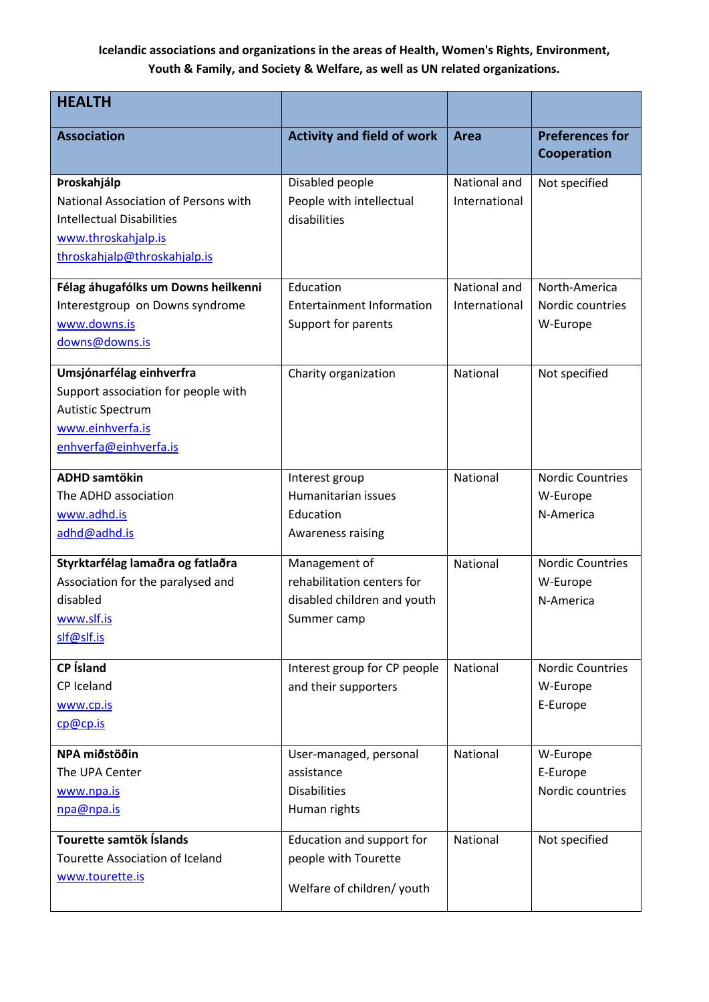| <b>HEALTH</b>                          |                                   |               |                         |
|----------------------------------------|-----------------------------------|---------------|-------------------------|
| <b>Association</b>                     | <b>Activity and field of work</b> | Area          | <b>Preferences for</b>  |
|                                        |                                   |               | Cooperation             |
| <b>Þroskahjálp</b>                     | Disabled people                   | National and  | Not specified           |
| National Association of Persons with   | People with intellectual          | International |                         |
| <b>Intellectual Disabilities</b>       | disabilities                      |               |                         |
| www.throskahjalp.is                    |                                   |               |                         |
| throskahjalp@throskahjalp.is           |                                   |               |                         |
| Félag áhugafólks um Downs heilkenni    | Education                         | National and  | North-America           |
| Interestgroup on Downs syndrome        | <b>Entertainment Information</b>  | International | Nordic countries        |
| www.downs.is                           | Support for parents               |               | W-Europe                |
| downs@downs.is                         |                                   |               |                         |
| Umsjónarfélag einhverfra               | Charity organization              | National      | Not specified           |
| Support association for people with    |                                   |               |                         |
| <b>Autistic Spectrum</b>               |                                   |               |                         |
| www.einhverfa.is                       |                                   |               |                         |
| enhverfa@einhverfa.is                  |                                   |               |                         |
| <b>ADHD samtökin</b>                   | Interest group                    | National      | <b>Nordic Countries</b> |
| The ADHD association                   | Humanitarian issues               |               | W-Europe                |
| www.adhd.is                            | Education                         |               | N-America               |
| adhd@adhd.is                           | Awareness raising                 |               |                         |
| Styrktarfélag lamaðra og fatlaðra      | Management of                     | National      | <b>Nordic Countries</b> |
| Association for the paralysed and      | rehabilitation centers for        |               | W-Europe                |
| disabled                               | disabled children and youth       |               | N-America               |
| www.slf.is                             | Summer camp                       |               |                         |
| slf@slf.is                             |                                   |               |                         |
| CP Ísland                              | Interest group for CP people      | National      | <b>Nordic Countries</b> |
| CP Iceland                             | and their supporters              |               | W-Europe                |
| www.cp.is                              |                                   |               | E-Europe                |
| cp@cp.is                               |                                   |               |                         |
| NPA miðstöðin                          | User-managed, personal            | National      | W-Europe                |
| The UPA Center                         | assistance                        |               | E-Europe                |
| www.npa.is                             | <b>Disabilities</b>               |               | Nordic countries        |
| npa@npa.is                             | Human rights                      |               |                         |
| Tourette samtök Íslands                | Education and support for         | National      | Not specified           |
| <b>Tourette Association of Iceland</b> | people with Tourette              |               |                         |
| www.tourette.is                        |                                   |               |                         |
|                                        | Welfare of children/ youth        |               |                         |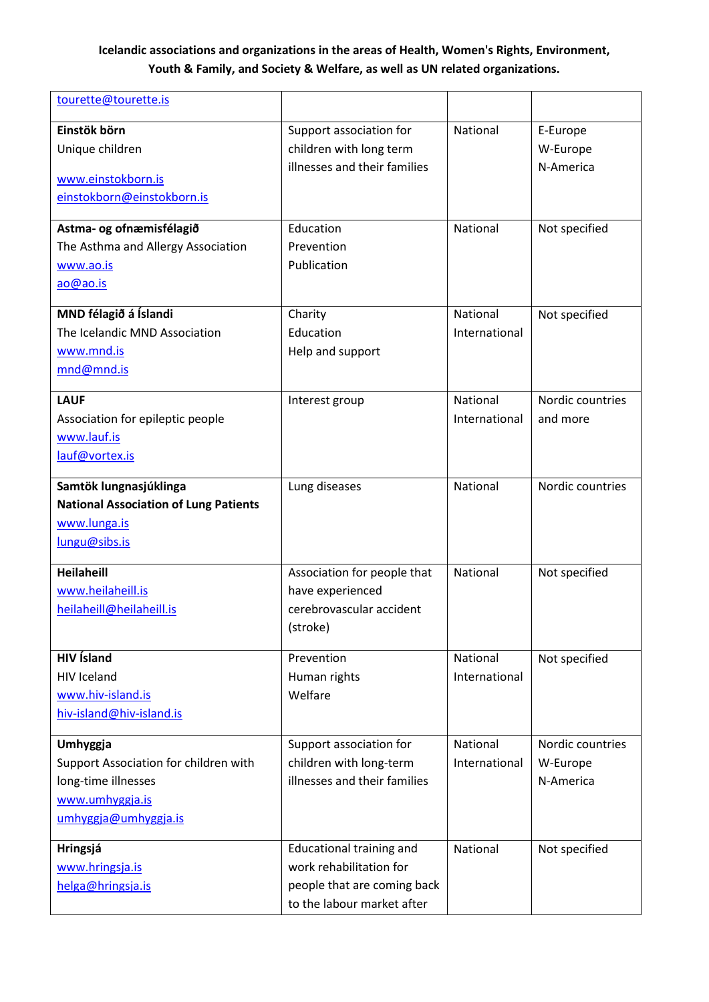| tourette@tourette.is                                                                                                |                                                                                                                  |                           |                                           |
|---------------------------------------------------------------------------------------------------------------------|------------------------------------------------------------------------------------------------------------------|---------------------------|-------------------------------------------|
| Einstök börn<br>Unique children<br>www.einstokborn.is<br>einstokborn@einstokborn.is                                 | Support association for<br>children with long term<br>illnesses and their families                               | National                  | E-Europe<br>W-Europe<br>N-America         |
| Astma- og ofnæmisfélagið<br>The Asthma and Allergy Association<br>www.ao.is<br>ao@ao.is                             | Education<br>Prevention<br>Publication                                                                           | National                  | Not specified                             |
| MND félagið á Íslandi<br>The Icelandic MND Association<br>www.mnd.is<br>mnd@mnd.is                                  | Charity<br>Education<br>Help and support                                                                         | National<br>International | Not specified                             |
| <b>LAUF</b><br>Association for epileptic people<br>www.lauf.is<br>lauf@vortex.is                                    | Interest group                                                                                                   | National<br>International | Nordic countries<br>and more              |
| Samtök lungnasjúklinga<br><b>National Association of Lung Patients</b><br>www.lunga.is<br>lungu@sibs.is             | Lung diseases                                                                                                    | National                  | Nordic countries                          |
| <b>Heilaheill</b><br>www.heilaheill.is<br>heilaheill@heilaheill.is                                                  | Association for people that<br>have experienced<br>cerebrovascular accident<br>(stroke)                          | National                  | Not specified                             |
| <b>HIV</b> Ísland<br><b>HIV Iceland</b><br>www.hiv-island.is<br>hiv-island@hiv-island.is                            | Prevention<br>Human rights<br>Welfare                                                                            | National<br>International | Not specified                             |
| Umhyggja<br>Support Association for children with<br>long-time illnesses<br>www.umhyggja.is<br>umhyggja@umhyggja.is | Support association for<br>children with long-term<br>illnesses and their families                               | National<br>International | Nordic countries<br>W-Europe<br>N-America |
| Hringsjá<br>www.hringsja.is<br>helga@hringsja.is                                                                    | Educational training and<br>work rehabilitation for<br>people that are coming back<br>to the labour market after | National                  | Not specified                             |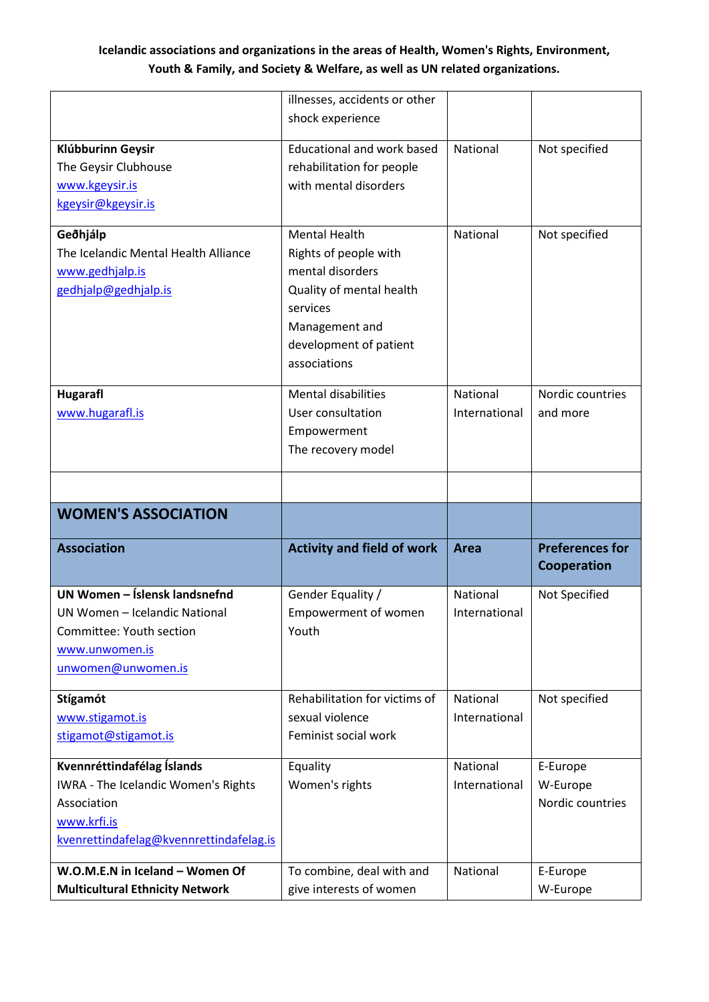|                                         | illnesses, accidents or other     |               |                        |
|-----------------------------------------|-----------------------------------|---------------|------------------------|
|                                         | shock experience                  |               |                        |
|                                         |                                   |               |                        |
| Klúbburinn Geysir                       | Educational and work based        | National      | Not specified          |
| The Geysir Clubhouse                    | rehabilitation for people         |               |                        |
| www.kgeysir.is                          | with mental disorders             |               |                        |
| kgeysir@kgeysir.is                      |                                   |               |                        |
|                                         |                                   |               |                        |
| Geðhjálp                                | <b>Mental Health</b>              | National      | Not specified          |
| The Icelandic Mental Health Alliance    | Rights of people with             |               |                        |
| www.gedhjalp.is                         | mental disorders                  |               |                        |
| gedhjalp@gedhjalp.is                    | Quality of mental health          |               |                        |
|                                         | services                          |               |                        |
|                                         | Management and                    |               |                        |
|                                         | development of patient            |               |                        |
|                                         | associations                      |               |                        |
|                                         |                                   |               |                        |
| <b>Hugarafl</b>                         | <b>Mental disabilities</b>        | National      | Nordic countries       |
| www.hugarafl.is                         | User consultation                 | International | and more               |
|                                         | Empowerment                       |               |                        |
|                                         | The recovery model                |               |                        |
|                                         |                                   |               |                        |
|                                         |                                   |               |                        |
|                                         |                                   |               |                        |
| <b>WOMEN'S ASSOCIATION</b>              |                                   |               |                        |
|                                         |                                   |               |                        |
| <b>Association</b>                      | <b>Activity and field of work</b> | <b>Area</b>   | <b>Preferences for</b> |
|                                         |                                   |               | Cooperation            |
| UN Women - Íslensk landsnefnd           | Gender Equality /                 | National      | Not Specified          |
| UN Women - Icelandic National           | <b>Empowerment of women</b>       | International |                        |
| Committee: Youth section                | Youth                             |               |                        |
| www.unwomen.is                          |                                   |               |                        |
| unwomen@unwomen.is                      |                                   |               |                        |
|                                         |                                   |               |                        |
| Stígamót                                | Rehabilitation for victims of     | National      | Not specified          |
| www.stigamot.is                         | sexual violence                   | International |                        |
| stigamot@stigamot.is                    | Feminist social work              |               |                        |
| Kvennréttindafélag Íslands              | Equality                          | National      | E-Europe               |
| IWRA - The Icelandic Women's Rights     | Women's rights                    | International | W-Europe               |
| Association                             |                                   |               | Nordic countries       |
| www.krfi.is                             |                                   |               |                        |
|                                         |                                   |               |                        |
| kvenrettindafelag@kvennrettindafelag.is |                                   |               |                        |
| W.O.M.E.N in Iceland - Women Of         | To combine, deal with and         | National      | E-Europe               |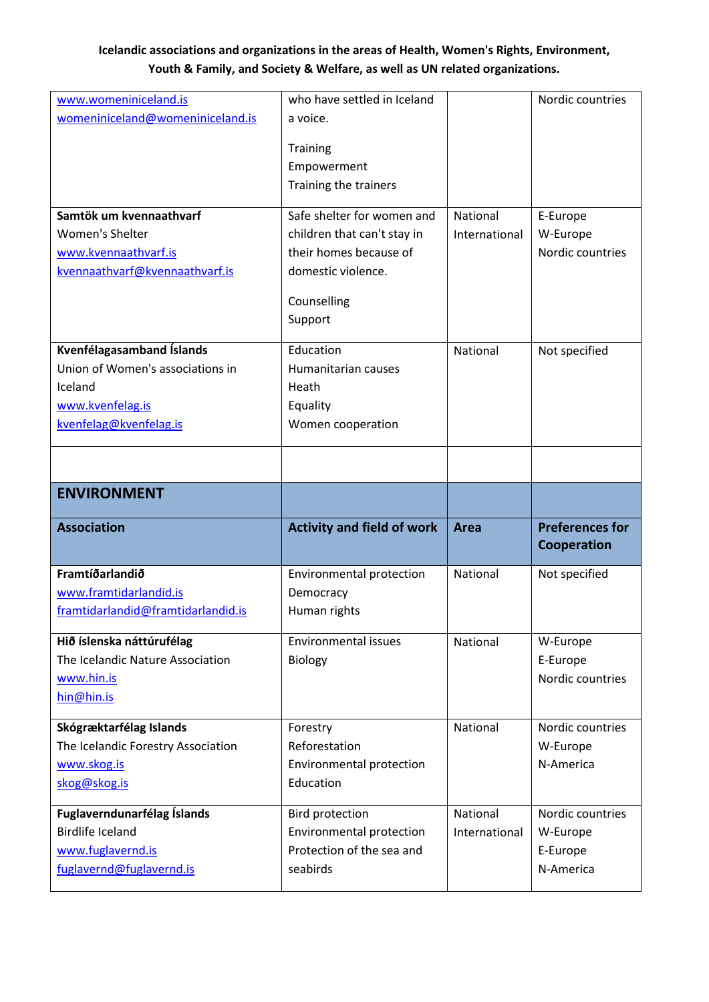| www.womeniniceland.is                         | who have settled in Iceland           |               | Nordic countries                      |
|-----------------------------------------------|---------------------------------------|---------------|---------------------------------------|
| womeniniceland@womeniniceland.is              | a voice.                              |               |                                       |
|                                               |                                       |               |                                       |
|                                               | Training                              |               |                                       |
|                                               | Empowerment                           |               |                                       |
|                                               | Training the trainers                 |               |                                       |
| Samtök um kvennaathvarf                       | Safe shelter for women and            | National      | E-Europe                              |
| Women's Shelter                               | children that can't stay in           | International | W-Europe                              |
| www.kvennaathvarf.is                          | their homes because of                |               | Nordic countries                      |
| kvennaathvarf@kvennaathvarf.is                | domestic violence.                    |               |                                       |
|                                               | Counselling                           |               |                                       |
|                                               | Support                               |               |                                       |
|                                               |                                       |               |                                       |
| Kvenfélagasamband Íslands                     | Education                             | National      | Not specified                         |
| Union of Women's associations in              | Humanitarian causes                   |               |                                       |
| Iceland                                       | Heath                                 |               |                                       |
| www.kvenfelag.is                              | Equality                              |               |                                       |
| kvenfelag@kvenfelag.is                        | Women cooperation                     |               |                                       |
|                                               |                                       |               |                                       |
|                                               |                                       |               |                                       |
|                                               |                                       |               |                                       |
| <b>ENVIRONMENT</b>                            |                                       |               |                                       |
|                                               |                                       |               |                                       |
| <b>Association</b>                            | <b>Activity and field of work</b>     | <b>Area</b>   | <b>Preferences for</b><br>Cooperation |
|                                               |                                       |               |                                       |
| Framtíðarlandið                               | Environmental protection              | National      | Not specified                         |
| www.framtidarlandid.is                        | Democracy                             |               |                                       |
| framtidarlandid@framtidarlandid.is            | Human rights                          |               |                                       |
| Hið íslenska náttúrufélag                     | <b>Environmental issues</b>           | National      | W-Europe                              |
| The Icelandic Nature Association              | <b>Biology</b>                        |               | E-Europe                              |
| www.hin.is                                    |                                       |               | Nordic countries                      |
| hin@hin.is                                    |                                       |               |                                       |
|                                               |                                       | National      |                                       |
| Skógræktarfélag Islands                       | Forestry<br>Reforestation             |               | Nordic countries                      |
| The Icelandic Forestry Association            |                                       |               | W-Europe<br>N-America                 |
| www.skog.is<br>skog@skog.is                   | Environmental protection<br>Education |               |                                       |
|                                               |                                       |               |                                       |
| Fuglaverndunarfélag Íslands                   | <b>Bird protection</b>                | National      | Nordic countries                      |
| <b>Birdlife Iceland</b>                       | Environmental protection              | International | W-Europe                              |
| www.fuglavernd.is<br>fuglavernd@fuglavernd.is | Protection of the sea and<br>seabirds |               | E-Europe<br>N-America                 |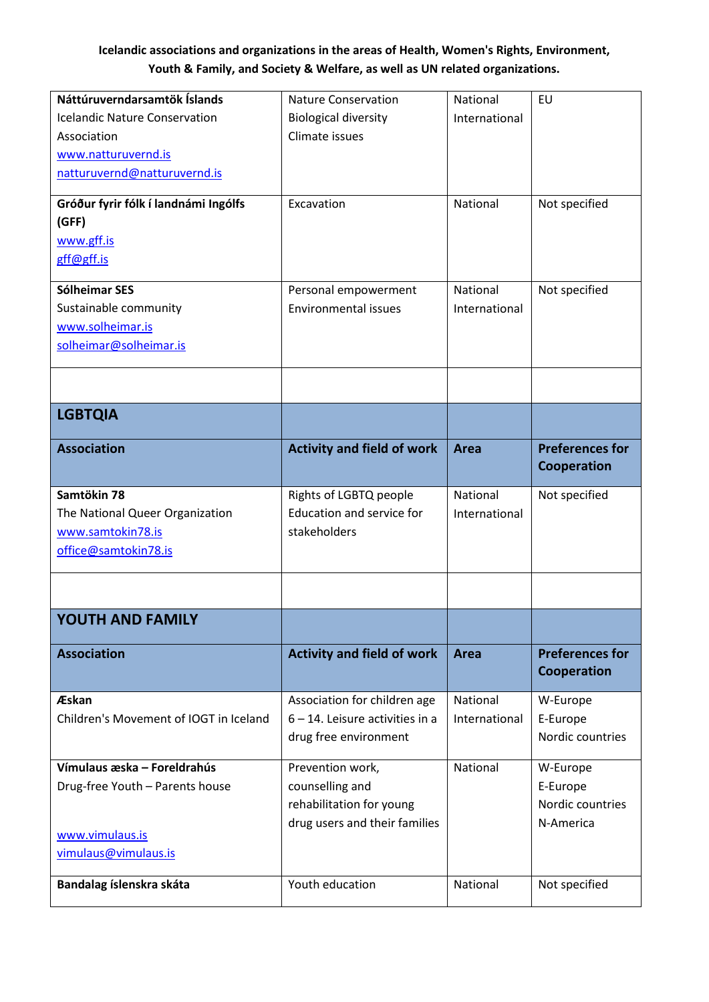| Náttúruverndarsamtök Íslands           | <b>Nature Conservation</b>         | National      | EU                                    |
|----------------------------------------|------------------------------------|---------------|---------------------------------------|
| <b>Icelandic Nature Conservation</b>   | <b>Biological diversity</b>        | International |                                       |
| Association                            | Climate issues                     |               |                                       |
| www.natturuvernd.is                    |                                    |               |                                       |
| natturuvernd@natturuvernd.is           |                                    |               |                                       |
| Gróður fyrir fólk í landnámi Ingólfs   | Excavation                         | National      | Not specified                         |
| (GFF)                                  |                                    |               |                                       |
| www.gff.is                             |                                    |               |                                       |
| gff@gff.is                             |                                    |               |                                       |
|                                        |                                    |               |                                       |
| Sólheimar SES                          | Personal empowerment               | National      | Not specified                         |
| Sustainable community                  | <b>Environmental issues</b>        | International |                                       |
| www.solheimar.is                       |                                    |               |                                       |
| solheimar@solheimar.is                 |                                    |               |                                       |
|                                        |                                    |               |                                       |
| <b>LGBTQIA</b>                         |                                    |               |                                       |
|                                        |                                    |               |                                       |
| <b>Association</b>                     | <b>Activity and field of work</b>  | <b>Area</b>   | <b>Preferences for</b>                |
|                                        |                                    |               | Cooperation                           |
| Samtökin 78                            | Rights of LGBTQ people             | National      | Not specified                         |
| The National Queer Organization        | Education and service for          | International |                                       |
|                                        |                                    |               |                                       |
| www.samtokin78.is                      | stakeholders                       |               |                                       |
| office@samtokin78.is                   |                                    |               |                                       |
|                                        |                                    |               |                                       |
|                                        |                                    |               |                                       |
| YOUTH AND FAMILY                       |                                    |               |                                       |
|                                        |                                    |               |                                       |
| <b>Association</b>                     | <b>Activity and field of work</b>  | <b>Area</b>   | <b>Preferences for</b><br>Cooperation |
|                                        |                                    |               |                                       |
| Æskan                                  | Association for children age       | National      | W-Europe                              |
| Children's Movement of IOGT in Iceland | $6 - 14$ . Leisure activities in a | International | E-Europe                              |
|                                        | drug free environment              |               | Nordic countries                      |
| Vímulaus æska - Foreldrahús            | Prevention work,                   | National      | W-Europe                              |
| Drug-free Youth - Parents house        | counselling and                    |               | E-Europe                              |
|                                        | rehabilitation for young           |               | Nordic countries                      |
|                                        | drug users and their families      |               | N-America                             |
| www.vimulaus.is                        |                                    |               |                                       |
| vimulaus@vimulaus.is                   |                                    |               |                                       |
| Bandalag íslenskra skáta               | Youth education                    | National      | Not specified                         |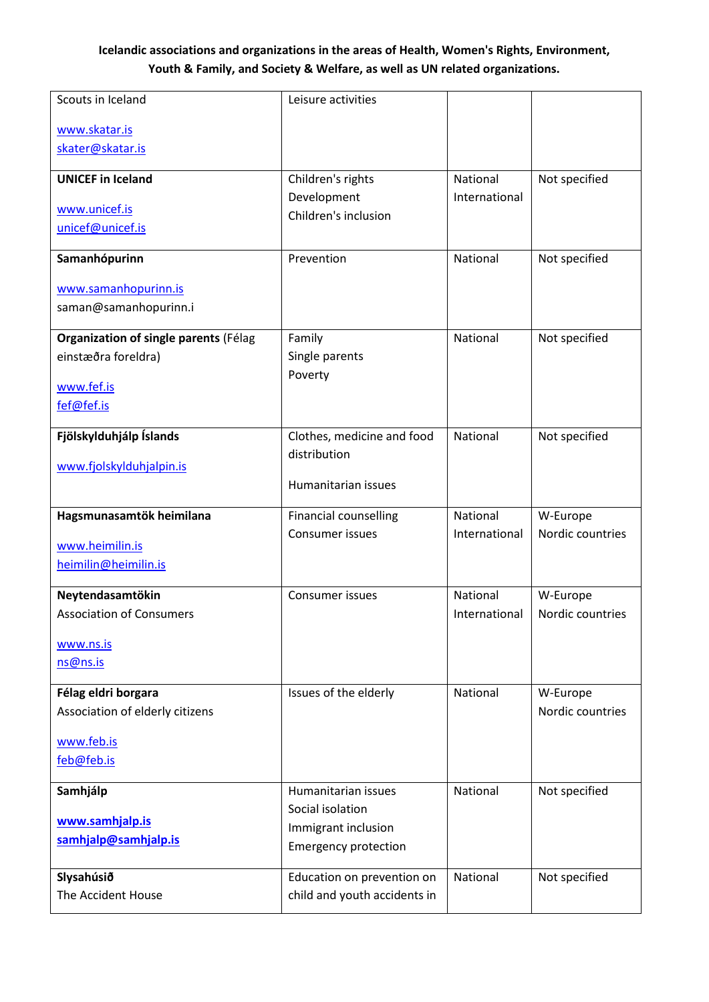| Scouts in Iceland                       | Leisure activities                                         |                           |                              |
|-----------------------------------------|------------------------------------------------------------|---------------------------|------------------------------|
| www.skatar.is                           |                                                            |                           |                              |
| skater@skatar.is                        |                                                            |                           |                              |
| <b>UNICEF in Iceland</b>                | Children's rights                                          | National                  | Not specified                |
| www.unicef.is                           | Development                                                | International             |                              |
| unicef@unicef.is                        | Children's inclusion                                       |                           |                              |
|                                         |                                                            |                           |                              |
| Samanhópurinn                           | Prevention                                                 | National                  | Not specified                |
| www.samanhopurinn.is                    |                                                            |                           |                              |
| saman@samanhopurinn.i                   |                                                            |                           |                              |
| Organization of single parents (Félag   | Family                                                     | National                  | Not specified                |
| einstæðra foreldra)                     | Single parents                                             |                           |                              |
| www.fef.is                              | Poverty                                                    |                           |                              |
| fef@fef.is                              |                                                            |                           |                              |
|                                         |                                                            |                           |                              |
| Fjölskylduhjálp Íslands                 | Clothes, medicine and food                                 | National                  | Not specified                |
| www.fjolskylduhjalpin.is                | distribution                                               |                           |                              |
|                                         | Humanitarian issues                                        |                           |                              |
|                                         |                                                            |                           |                              |
|                                         |                                                            |                           |                              |
| Hagsmunasamtök heimilana                | <b>Financial counselling</b><br>Consumer issues            | National<br>International | W-Europe<br>Nordic countries |
| www.heimilin.is                         |                                                            |                           |                              |
| heimilin@heimilin.is                    |                                                            |                           |                              |
| Neytendasamtökin                        | Consumer issues                                            | National                  | W-Europe                     |
| <b>Association of Consumers</b>         |                                                            | International             | Nordic countries             |
|                                         |                                                            |                           |                              |
| www.ns.is<br>ns@ns.is                   |                                                            |                           |                              |
|                                         |                                                            |                           |                              |
| Félag eldri borgara                     | Issues of the elderly                                      | National                  | W-Europe                     |
| Association of elderly citizens         |                                                            |                           | Nordic countries             |
| www.feb.is                              |                                                            |                           |                              |
| feb@feb.is                              |                                                            |                           |                              |
| Samhjálp                                | Humanitarian issues                                        | National                  | Not specified                |
|                                         | Social isolation                                           |                           |                              |
| www.samhjalp.is<br>samhjalp@samhjalp.is | Immigrant inclusion                                        |                           |                              |
|                                         | <b>Emergency protection</b>                                |                           |                              |
| Slysahúsið<br>The Accident House        | Education on prevention on<br>child and youth accidents in | National                  | Not specified                |